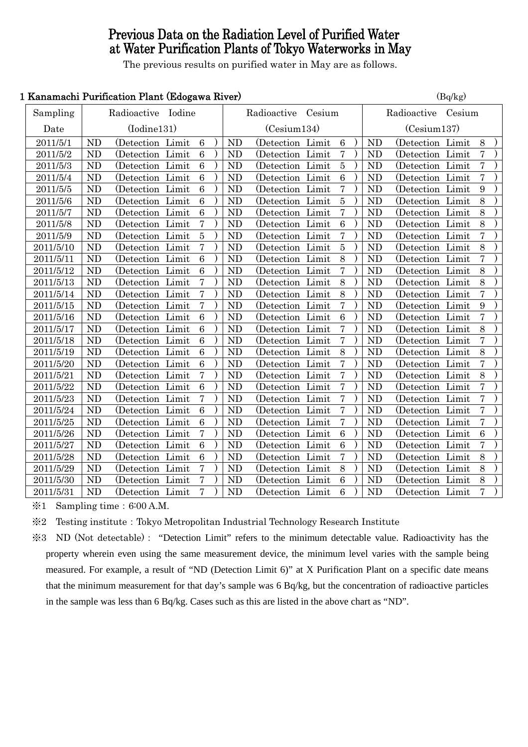# Previous Data on the Radiation Level of Purified Water at Water Purification Plants of Tokyo Waterworks in May

The previous results on purified water in May are as follows.

### 1 Kanamachi Purification Plant (Edogawa River) (Balkg)

|           |                    | <b>Ranamacin I armeación i fano (Duogawa Islvei)</b> |       |                  |  |                |                    |  |                 | $\mathbf{u}_1$ $\mathbf{u}_2$ |                    |                   |  |                          |  |
|-----------|--------------------|------------------------------------------------------|-------|------------------|--|----------------|--------------------|--|-----------------|-------------------------------|--------------------|-------------------|--|--------------------------|--|
| Sampling  | Radioactive Iodine |                                                      |       |                  |  |                | Radioactive Cesium |  |                 |                               | Radioactive Cesium |                   |  |                          |  |
| Date      |                    | (Iodine131)                                          |       |                  |  |                | (Cesium134)        |  |                 |                               | (Cesium137)        |                   |  |                          |  |
| 2011/5/1  | <b>ND</b>          | (Detection Limit)                                    |       | $\,6\,$          |  | <b>ND</b>      | (Detection Limit)  |  | $\,6\,$         |                               | <b>ND</b>          | (Detection Limit) |  | $8\,$                    |  |
| 2011/5/2  | <b>ND</b>          | (Detection Limit)                                    |       | $\,6\,$          |  | N <sub>D</sub> | (Detection Limit)  |  | 7               |                               | N <sub>D</sub>     | (Detection Limit  |  | 7                        |  |
| 2011/5/3  | <b>ND</b>          | (Detection Limit)                                    |       | $\boldsymbol{6}$ |  | <b>ND</b>      | (Detection Limit   |  | $\overline{5}$  |                               | <b>ND</b>          | (Detection Limit) |  | $\bf 7$                  |  |
| 2011/5/4  | <b>ND</b>          | (Detection Limit)                                    |       | $6\phantom{1}6$  |  | <b>ND</b>      | (Detection Limit   |  | $\overline{6}$  |                               | <b>ND</b>          | (Detection Limit  |  | $\overline{7}$           |  |
| 2011/5/5  | ND                 | (Detection Limit                                     |       | $\boldsymbol{6}$ |  | <b>ND</b>      | (Detection Limit   |  | $\bf 7$         |                               | <b>ND</b>          | (Detection Limit  |  | $\boldsymbol{9}$         |  |
| 2011/5/6  | ND                 | (Detection Limit                                     |       | $\boldsymbol{6}$ |  | <b>ND</b>      | (Detection Limit   |  | $\overline{5}$  |                               | N <sub>D</sub>     | (Detection Limit) |  | 8                        |  |
| 2011/5/7  | <b>ND</b>          | (Detection Limit                                     |       | $\,6\,$          |  | <b>ND</b>      | (Detection Limit   |  | $\overline{7}$  |                               | <b>ND</b>          | (Detection Limit  |  | 8                        |  |
| 2011/5/8  | <b>ND</b>          | (Detection)                                          | Limit | $\overline{7}$   |  | <b>ND</b>      | (Detection Limit   |  | $6\phantom{1}6$ |                               | <b>ND</b>          | (Detection Limit  |  | 8                        |  |
| 2011/5/9  | ND                 | (Detection Limit                                     |       | $\overline{5}$   |  | <b>ND</b>      | (Detection Limit   |  | $\overline{7}$  |                               | <b>ND</b>          | (Detection Limit  |  | $\overline{7}$           |  |
| 2011/5/10 | ND                 | (Detection Limit)                                    |       | 7                |  | <b>ND</b>      | (Detection Limit)  |  | $\bf 5$         |                               | <b>ND</b>          | (Detection Limit) |  | 8                        |  |
| 2011/5/11 | <b>ND</b>          | (Detection Limit)                                    |       | $6\phantom{1}6$  |  | <b>ND</b>      | (Detection Limit)  |  | 8               |                               | <b>ND</b>          | (Detection Limit) |  | $\overline{7}$           |  |
| 2011/5/12 | ND                 | (Detection Limit)                                    |       | $\overline{6}$   |  | <b>ND</b>      | (Detection Limit   |  | $\overline{7}$  |                               | <b>ND</b>          | (Detection Limit  |  | $\overline{8}$           |  |
| 2011/5/13 | <b>ND</b>          | (Detection Limit                                     |       | 7                |  | <b>ND</b>      | (Detection Limit   |  | 8               |                               | N <sub>D</sub>     | (Detection Limit  |  | 8                        |  |
| 2011/5/14 | <b>ND</b>          | (Detection Limit)                                    |       | 7                |  | <b>ND</b>      | (Detection Limit)  |  | 8               |                               | <b>ND</b>          | (Detection Limit  |  | $\sqrt{ }$               |  |
| 2011/5/15 | ND                 | (Detection Limit)                                    |       | 7                |  | <b>ND</b>      | (Detection Limit   |  | $\overline{7}$  |                               | <b>ND</b>          | (Detection Limit  |  | 9                        |  |
| 2011/5/16 | <b>ND</b>          | (Detection Limit                                     |       | $6\phantom{1}6$  |  | ND             | (Detection Limit   |  | $\overline{6}$  |                               | <b>ND</b>          | (Detection Limit  |  | $\overline{7}$           |  |
| 2011/5/17 | <b>ND</b>          | (Detection Limit                                     |       | $\boldsymbol{6}$ |  | <b>ND</b>      | (Detection Limit   |  | $\overline{7}$  |                               | <b>ND</b>          | (Detection Limit  |  | 8                        |  |
| 2011/5/18 | ND                 | (Detection Limit                                     |       | $6\phantom{1}6$  |  | <b>ND</b>      | (Detection Limit   |  | $\overline{7}$  |                               | <b>ND</b>          | (Detection Limit  |  | $\overline{7}$           |  |
| 2011/5/19 | <b>ND</b>          | (Detection Limit)                                    |       | $6\phantom{1}6$  |  | <b>ND</b>      | (Detection Limit   |  | 8               |                               | <b>ND</b>          | (Detection Limit  |  | 8                        |  |
| 2011/5/20 | ND                 | (Detection Limit                                     |       | $\,6\,$          |  | <b>ND</b>      | (Detection Limit   |  | $\overline{7}$  |                               | <b>ND</b>          | (Detection Limit  |  | $\sqrt{ }$               |  |
| 2011/5/21 | <b>ND</b>          | (Detection Limit)                                    |       | 7                |  | <b>ND</b>      | (Detection Limit   |  | $\overline{7}$  |                               | <b>ND</b>          | (Detection Limit  |  | 8                        |  |
| 2011/5/22 | <b>ND</b>          | (Detection Limit)                                    |       | $\overline{6}$   |  | <b>ND</b>      | (Detection Limit   |  | $\overline{7}$  |                               | <b>ND</b>          | (Detection Limit  |  | $\overline{7}$           |  |
| 2011/5/23 | <b>ND</b>          | (Detection Limit)                                    |       | 7                |  | <b>ND</b>      | (Detection Limit)  |  | $\overline{7}$  |                               | <b>ND</b>          | (Detection Limit  |  | $\overline{7}$           |  |
| 2011/5/24 | ND                 | (Detection Limit                                     |       | $\,6\,$          |  | N <sub>D</sub> | (Detection Limit   |  | $\overline{7}$  |                               | N <sub>D</sub>     | (Detection Limit  |  | $\overline{7}$           |  |
| 2011/5/25 | <b>ND</b>          | (Detection Limit)                                    |       | $\,6\,$          |  | <b>ND</b>      | (Detection Limit)  |  | 7               |                               | N <sub>D</sub>     | (Detection Limit) |  | $\overline{\mathcal{I}}$ |  |
| 2011/5/26 | <b>ND</b>          | (Detection Limit                                     |       | 7                |  | <b>ND</b>      | (Detection Limit   |  | $\,6\,$         |                               | <b>ND</b>          | (Detection Limit  |  | $\,6\,$                  |  |
| 2011/5/27 | ND                 | (Detection Limit                                     |       | $6\phantom{.}6$  |  | <b>ND</b>      | (Detection Limit   |  | $\overline{6}$  |                               | <b>ND</b>          | (Detection Limit  |  | $\overline{7}$           |  |
| 2011/5/28 | ND                 | (Detection Limit                                     |       | $\overline{6}$   |  | <b>ND</b>      | (Detection Limit   |  | $\overline{7}$  |                               | <b>ND</b>          | (Detection Limit  |  | 8                        |  |
| 2011/5/29 | ND                 | (Detection Limit                                     |       | 7                |  | N <sub>D</sub> | (Detection Limit   |  | 8               |                               | N <sub>D</sub>     | (Detection Limit  |  | $8\,$                    |  |
| 2011/5/30 | <b>ND</b>          | (Detection Limit                                     |       | 7                |  | <b>ND</b>      | (Detection Limit   |  | $6\phantom{1}6$ |                               | <b>ND</b>          | (Detection Limit  |  | 8                        |  |
| 2011/5/31 | ND                 | (Detection Limit                                     |       | 7                |  | <b>ND</b>      | (Detection Limit   |  | $6\phantom{1}6$ |                               | <b>ND</b>          | (Detection Limit  |  | $\overline{7}$           |  |

 $\text{\%}1$  Sampling time: 6:00 A.M.

※2 Testing institute:Tokyo Metropolitan Industrial Technology Research Institute

※3 ND (Not detectable): "Detection Limit" refers to the minimum detectable value. Radioactivity has the property wherein even using the same measurement device, the minimum level varies with the sample being measured. For example, a result of "ND (Detection Limit 6)" at X Purification Plant on a specific date means that the minimum measurement for that day's sample was 6 Bq/kg, but the concentration of radioactive particles in the sample was less than 6 Bq/kg. Cases such as this are listed in the above chart as "ND".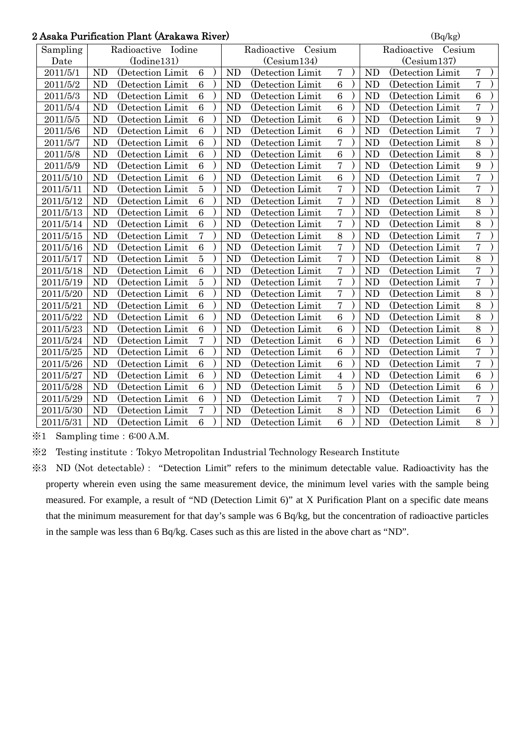# 2 Asaka Purification Plant (Arakawa River)  $\left( \frac{B}{Bq/kg} \right)$

| Asaka Purilication Piant (Arakawa Kiver)<br>$\langle$ DQ/Kg $\rangle$ |                       |                   |                 |             |                |                       |                       |             |                |                   |                |  |
|-----------------------------------------------------------------------|-----------------------|-------------------|-----------------|-------------|----------------|-----------------------|-----------------------|-------------|----------------|-------------------|----------------|--|
| Sampling                                                              | Radioactive<br>Iodine |                   |                 |             |                | Radioactive<br>Cesium | Radioactive<br>Cesium |             |                |                   |                |  |
| Date                                                                  | (Iodine131)           |                   |                 | (Cesium134) |                |                       |                       | (Cesium137) |                |                   |                |  |
| 2011/5/1                                                              | <b>ND</b>             | (Detection Limit  | $6\phantom{1}6$ |             | <b>ND</b>      | (Detection Limit      | $\overline{7}$        |             | <b>ND</b>      | (Detection Limit  | 7              |  |
| 2011/5/2                                                              | <b>ND</b>             | (Detection Limit) | $6\phantom{1}6$ |             | N <sub>D</sub> | (Detection Limit      | $\overline{6}$        |             | <b>ND</b>      | (Detection Limit) | $\overline{7}$ |  |
| 2011/5/3                                                              | <b>ND</b>             | (Detection Limit  | $\,6\,$         |             | <b>ND</b>      | (Detection Limit      | $\overline{6}$        |             | <b>ND</b>      | (Detection Limit  | 6              |  |
| 2011/5/4                                                              | <b>ND</b>             | (Detection Limit  | 6               |             | <b>ND</b>      | (Detection Limit      | 6                     |             | <b>ND</b>      | (Detection Limit  | $\overline{7}$ |  |
| 2011/5/5                                                              | <b>ND</b>             | (Detection Limit  | $\overline{6}$  |             | <b>ND</b>      | (Detection Limit)     | 6                     |             | <b>ND</b>      | (Detection Limit) | 9              |  |
| 2011/5/6                                                              | <b>ND</b>             | (Detection Limit  | 6               |             | <b>ND</b>      | (Detection Limit      | 6                     |             | N <sub>D</sub> | (Detection Limit  | $\overline{7}$ |  |
| 2011/5/7                                                              | <b>ND</b>             | (Detection Limit  | $\,6\,$         |             | <b>ND</b>      | (Detection Limit      | $\overline{7}$        |             | <b>ND</b>      | (Detection Limit  | 8              |  |
| 2011/5/8                                                              | <b>ND</b>             | (Detection Limit  | $\overline{6}$  |             | <b>ND</b>      | (Detection Limit      | $\overline{6}$        |             | <b>ND</b>      | (Detection Limit  | 8              |  |
| 2011/5/9                                                              | <b>ND</b>             | (Detection Limit  | $\,6\,$         |             | <b>ND</b>      | (Detection Limit)     | $\overline{7}$        |             | <b>ND</b>      | (Detection Limit) | 9              |  |
| 2011/5/10                                                             | N <sub>D</sub>        | (Detection Limit  | 6               |             | <b>ND</b>      | (Detection Limit      | $\overline{6}$        |             | <b>ND</b>      | (Detection Limit  | $\overline{7}$ |  |
| 2011/5/11                                                             | <b>ND</b>             | (Detection Limit  | $\overline{5}$  |             | <b>ND</b>      | (Detection Limit)     | $\overline{7}$        |             | <b>ND</b>      | (Detection Limit  | $\overline{7}$ |  |
| 2011/5/12                                                             | <b>ND</b>             | (Detection Limit  | $\overline{6}$  |             | <b>ND</b>      | (Detection Limit      | $\overline{7}$        |             | <b>ND</b>      | (Detection Limit  | 8              |  |
| 2011/5/13                                                             | <b>ND</b>             | (Detection Limit  | $\overline{6}$  |             | <b>ND</b>      | (Detection Limit      | $\overline{7}$        |             | <b>ND</b>      | (Detection Limit  | 8              |  |
| 2011/5/14                                                             | <b>ND</b>             | (Detection Limit) | 6               |             | <b>ND</b>      | (Detection Limit)     | $\overline{7}$        |             | <b>ND</b>      | (Detection Limit) | 8              |  |
| 2011/5/15                                                             | <b>ND</b>             | (Detection Limit) | $\overline{7}$  |             | <b>ND</b>      | (Detection Limit      | $\overline{8}$        |             | <b>ND</b>      | (Detection Limit) | $\overline{7}$ |  |
| 2011/5/16                                                             | <b>ND</b>             | (Detection Limit  | $\overline{6}$  |             | <b>ND</b>      | (Detection Limit      | $\overline{7}$        |             | <b>ND</b>      | (Detection Limit  | $\overline{7}$ |  |
| 2011/5/17                                                             | <b>ND</b>             | (Detection Limit  | $\overline{5}$  |             | <b>ND</b>      | (Detection Limit      | $\overline{7}$        |             | <b>ND</b>      | (Detection Limit  | 8              |  |
| 2011/5/18                                                             | <b>ND</b>             | (Detection Limit  | 6               |             | <b>ND</b>      | (Detection Limit      | $\overline{7}$        |             | <b>ND</b>      | (Detection Limit  | $\overline{7}$ |  |
| 2011/5/19                                                             | <b>ND</b>             | (Detection Limit  | $\overline{5}$  |             | <b>ND</b>      | (Detection Limit      | $\overline{7}$        |             | <b>ND</b>      | (Detection Limit  | $\overline{7}$ |  |
| 2011/5/20                                                             | <b>ND</b>             | (Detection Limit) | $\,6\,$         |             | <b>ND</b>      | (Detection Limit)     | $\overline{7}$        |             | N <sub>D</sub> | (Detection Limit  | 8              |  |
| 2011/5/21                                                             | <b>ND</b>             | (Detection Limit  | $\overline{6}$  |             | <b>ND</b>      | (Detection Limit      | $\overline{7}$        |             | <b>ND</b>      | (Detection Limit  | 8              |  |
| 2011/5/22                                                             | <b>ND</b>             | (Detection Limit) | 6               |             | <b>ND</b>      | (Detection Limit      | 6                     |             | <b>ND</b>      | (Detection Limit) | 8              |  |
| 2011/5/23                                                             | <b>ND</b>             | (Detection Limit  | 6               |             | N <sub>D</sub> | (Detection Limit      | 6                     |             | N <sub>D</sub> | (Detection Limit  | 8              |  |
| 2011/5/24                                                             | <b>ND</b>             | (Detection Limit) | $\overline{7}$  |             | <b>ND</b>      | (Detection Limit)     | $\overline{6}$        |             | <b>ND</b>      | (Detection Limit) | 6              |  |
| 2011/5/25                                                             | <b>ND</b>             | (Detection Limit  | $\,6$           |             | <b>ND</b>      | (Detection Limit      | 6                     |             | <b>ND</b>      | (Detection Limit  | $\overline{7}$ |  |
| 2011/5/26                                                             | <b>ND</b>             | (Detection Limit  | 6               |             | <b>ND</b>      | (Detection Limit      | 6                     |             | <b>ND</b>      | (Detection Limit  | $\overline{7}$ |  |
| 2011/5/27                                                             | <b>ND</b>             | (Detection Limit  | $\overline{6}$  |             | <b>ND</b>      | (Detection Limit      | $\overline{4}$        |             | <b>ND</b>      | (Detection Limit) | 6              |  |
| 2011/5/28                                                             | <b>ND</b>             | (Detection Limit  | $\overline{6}$  |             | <b>ND</b>      | (Detection Limit      | $\overline{5}$        |             | <b>ND</b>      | (Detection Limit  | 6              |  |
| 2011/5/29                                                             | <b>ND</b>             | (Detection Limit  | $\overline{6}$  |             | <b>ND</b>      | (Detection Limit      | $\overline{7}$        |             | <b>ND</b>      | (Detection Limit  | $\overline{7}$ |  |
| 2011/5/30                                                             | <b>ND</b>             | (Detection Limit  | $\overline{7}$  |             | <b>ND</b>      | (Detection Limit      | 8                     |             | <b>ND</b>      | (Detection Limit  | $\overline{6}$ |  |
| 2011/5/31                                                             | <b>ND</b>             | (Detection Limit  | 6               |             | <b>ND</b>      | (Detection Limit      | $\overline{6}$        |             | <b>ND</b>      | (Detection Limit) | 8              |  |

 $\text{\%}1$  Sampling time: 6:00 A.M.

※2 Testing institute:Tokyo Metropolitan Industrial Technology Research Institute

※3 ND (Not detectable): "Detection Limit" refers to the minimum detectable value. Radioactivity has the property wherein even using the same measurement device, the minimum level varies with the sample being measured. For example, a result of "ND (Detection Limit 6)" at X Purification Plant on a specific date means that the minimum measurement for that day's sample was 6 Bq/kg, but the concentration of radioactive particles in the sample was less than 6 Bq/kg. Cases such as this are listed in the above chart as "ND".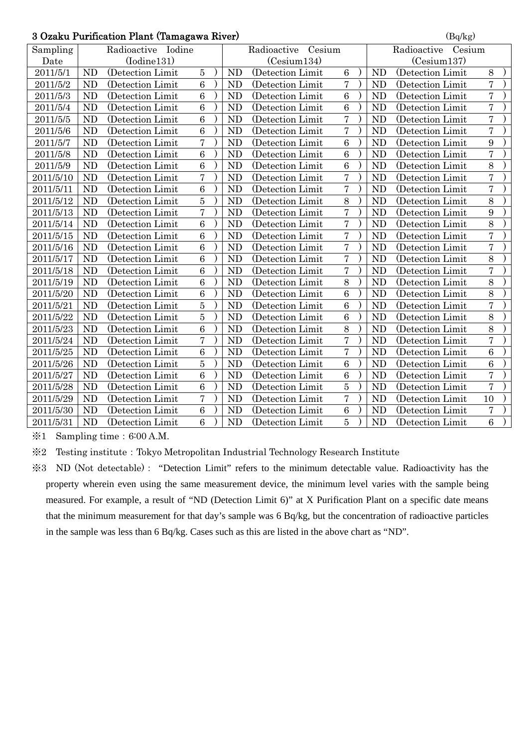#### $3$  Ozaku Purification Plant (Tamagawa River) (Bq/kg)

|           | o Ozaku Furlication Fiant (Tamagawa Kiver) |                   |                |  |                       |                   |                |  |             | (Dq/kg)            |                  |  |  |  |  |
|-----------|--------------------------------------------|-------------------|----------------|--|-----------------------|-------------------|----------------|--|-------------|--------------------|------------------|--|--|--|--|
| Sampling  | Radioactive Iodine                         |                   |                |  | Radioactive<br>Cesium |                   |                |  |             | Radioactive Cesium |                  |  |  |  |  |
| Date      | (Iodine131)                                |                   |                |  | (Cesium134)           |                   |                |  | (Cesium137) |                    |                  |  |  |  |  |
| 2011/5/1  | <b>ND</b>                                  | (Detection Limit  | $\bf 5$        |  | <b>ND</b>             | (Detection Limit  | $\overline{6}$ |  | <b>ND</b>   | (Detection Limit   | 8                |  |  |  |  |
| 2011/5/2  | <b>ND</b>                                  | (Detection Limit  | 6              |  | <b>ND</b>             | (Detection Limit) | $\overline{7}$ |  | <b>ND</b>   | (Detection Limit   | $\overline{7}$   |  |  |  |  |
| 2011/5/3  | <b>ND</b>                                  | (Detection Limit  | 6              |  | <b>ND</b>             | (Detection Limit  | 6              |  | <b>ND</b>   | (Detection Limit   | $\overline{7}$   |  |  |  |  |
| 2011/5/4  | <b>ND</b>                                  | (Detection Limit  | $\overline{6}$ |  | N <sub>D</sub>        | (Detection Limit  | 6              |  | <b>ND</b>   | (Detection Limit   | $\overline{7}$   |  |  |  |  |
| 2011/5/5  | <b>ND</b>                                  | (Detection Limit  | 6              |  | <b>ND</b>             | (Detection Limit) | $\overline{7}$ |  | <b>ND</b>   | (Detection Limit)  | $\overline{7}$   |  |  |  |  |
| 2011/5/6  | <b>ND</b>                                  | (Detection Limit) | $\overline{6}$ |  | <b>ND</b>             | (Detection Limit  | $\overline{7}$ |  | <b>ND</b>   | (Detection Limit   | $\overline{7}$   |  |  |  |  |
| 2011/5/7  | <b>ND</b>                                  | (Detection Limit) | $\overline{7}$ |  | <b>ND</b>             | (Detection Limit) | $\overline{6}$ |  | <b>ND</b>   | (Detection Limit)  | 9                |  |  |  |  |
| 2011/5/8  | <b>ND</b>                                  | (Detection Limit  | $\overline{6}$ |  | <b>ND</b>             | (Detection Limit  | 6              |  | <b>ND</b>   | (Detection Limit   | $\overline{7}$   |  |  |  |  |
| 2011/5/9  | <b>ND</b>                                  | (Detection Limit) | $\overline{6}$ |  | <b>ND</b>             | (Detection Limit) | $\overline{6}$ |  | <b>ND</b>   | (Detection Limit)  | 8                |  |  |  |  |
| 2011/5/10 | <b>ND</b>                                  | (Detection Limit  | $\overline{7}$ |  | <b>ND</b>             | (Detection Limit  | $\overline{7}$ |  | <b>ND</b>   | (Detection Limit   | $\overline{7}$   |  |  |  |  |
| 2011/5/11 | <b>ND</b>                                  | (Detection Limit  | $\overline{6}$ |  | <b>ND</b>             | (Detection Limit  | $\overline{7}$ |  | <b>ND</b>   | (Detection Limit)  | $\overline{7}$   |  |  |  |  |
| 2011/5/12 | <b>ND</b>                                  | (Detection Limit  | $\overline{5}$ |  | <b>ND</b>             | (Detection Limit  | 8              |  | <b>ND</b>   | (Detection Limit)  | 8                |  |  |  |  |
| 2011/5/13 | <b>ND</b>                                  | (Detection Limit  | $\overline{7}$ |  | <b>ND</b>             | (Detection Limit) | $\overline{7}$ |  | <b>ND</b>   | (Detection Limit)  | 9                |  |  |  |  |
| 2011/5/14 | N <sub>D</sub>                             | (Detection Limit  | $\overline{6}$ |  | N <sub>D</sub>        | (Detection Limit) | $\overline{7}$ |  | ND          | (Detection Limit)  | 8                |  |  |  |  |
| 2011/5/15 | <b>ND</b>                                  | (Detection Limit  | $\overline{6}$ |  | <b>ND</b>             | (Detection Limit  | $\overline{7}$ |  | <b>ND</b>   | (Detection Limit   | $\overline{7}$   |  |  |  |  |
| 2011/5/16 | <b>ND</b>                                  | (Detection Limit) | 6              |  | <b>ND</b>             | (Detection Limit) | $\overline{7}$ |  | <b>ND</b>   | (Detection Limit)  | $\overline{7}$   |  |  |  |  |
| 2011/5/17 | <b>ND</b>                                  | (Detection Limit  | $\overline{6}$ |  | <b>ND</b>             | (Detection Limit  | $\overline{7}$ |  | <b>ND</b>   | (Detection Limit   | 8                |  |  |  |  |
| 2011/5/18 | <b>ND</b>                                  | (Detection Limit  | $\overline{6}$ |  | <b>ND</b>             | (Detection Limit  | $\overline{7}$ |  | <b>ND</b>   | (Detection Limit   | $\overline{7}$   |  |  |  |  |
| 2011/5/19 | <b>ND</b>                                  | (Detection Limit  | $\overline{6}$ |  | <b>ND</b>             | (Detection Limit) | 8              |  | <b>ND</b>   | (Detection Limit)  | 8                |  |  |  |  |
| 2011/5/20 | <b>ND</b>                                  | (Detection Limit) | 6              |  | <b>ND</b>             | (Detection Limit) | 6              |  | <b>ND</b>   | (Detection Limit)  | $\overline{8}$   |  |  |  |  |
| 2011/5/21 | <b>ND</b>                                  | (Detection Limit  | $\overline{5}$ |  | <b>ND</b>             | (Detection Limit  | 6              |  | <b>ND</b>   | (Detection Limit   | $\overline{7}$   |  |  |  |  |
| 2011/5/22 | <b>ND</b>                                  | (Detection Limit  | $\overline{5}$ |  | <b>ND</b>             | (Detection Limit) | 6              |  | <b>ND</b>   | (Detection Limit   | 8                |  |  |  |  |
| 2011/5/23 | <b>ND</b>                                  | (Detection Limit  | $\overline{6}$ |  | <b>ND</b>             | (Detection Limit) | 8              |  | <b>ND</b>   | (Detection Limit)  | 8                |  |  |  |  |
| 2011/5/24 | <b>ND</b>                                  | (Detection Limit) | $\overline{7}$ |  | <b>ND</b>             | (Detection Limit) | $\overline{7}$ |  | <b>ND</b>   | (Detection Limit   | $\overline{7}$   |  |  |  |  |
| 2011/5/25 | <b>ND</b>                                  | (Detection Limit  | $\,6\,$        |  | <b>ND</b>             | (Detection Limit  | $\overline{7}$ |  | <b>ND</b>   | (Detection Limit   | $\boldsymbol{6}$ |  |  |  |  |
| 2011/5/26 | <b>ND</b>                                  | (Detection Limit) | $\overline{5}$ |  | <b>ND</b>             | (Detection Limit) | $\overline{6}$ |  | <b>ND</b>   | (Detection Limit)  | 6                |  |  |  |  |
| 2011/5/27 | <b>ND</b>                                  | (Detection Limit  | $\overline{6}$ |  | <b>ND</b>             | (Detection Limit) | 6              |  | <b>ND</b>   | (Detection Limit   | $\overline{7}$   |  |  |  |  |
| 2011/5/28 | <b>ND</b>                                  | (Detection Limit  | $\overline{6}$ |  | N <sub>D</sub>        | (Detection Limit  | $\overline{5}$ |  | <b>ND</b>   | (Detection Limit   | $\overline{7}$   |  |  |  |  |
| 2011/5/29 | <b>ND</b>                                  | (Detection Limit  | $\overline{7}$ |  | <b>ND</b>             | (Detection Limit  | $\overline{7}$ |  | <b>ND</b>   | (Detection Limit   | 10               |  |  |  |  |
| 2011/5/30 | <b>ND</b>                                  | (Detection Limit  | $\overline{6}$ |  | <b>ND</b>             | (Detection Limit) | 6              |  | <b>ND</b>   | (Detection Limit)  | $\overline{7}$   |  |  |  |  |
| 2011/5/31 | <b>ND</b>                                  | (Detection Limit  | $\overline{6}$ |  | ND                    | (Detection Limit  | $\overline{5}$ |  | <b>ND</b>   | (Detection Limit)  | 6                |  |  |  |  |

 $\text{\%}1$  Sampling time: 6:00 A.M.

※2 Testing institute:Tokyo Metropolitan Industrial Technology Research Institute

※3 ND (Not detectable): "Detection Limit" refers to the minimum detectable value. Radioactivity has the property wherein even using the same measurement device, the minimum level varies with the sample being measured. For example, a result of "ND (Detection Limit 6)" at X Purification Plant on a specific date means that the minimum measurement for that day's sample was 6 Bq/kg, but the concentration of radioactive particles in the sample was less than 6 Bq/kg. Cases such as this are listed in the above chart as "ND".